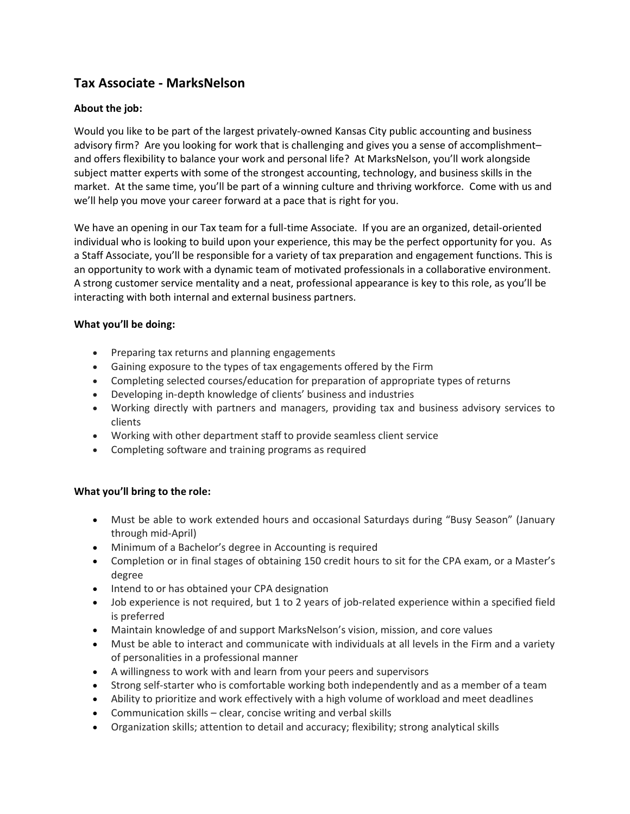# **Tax Associate - MarksNelson**

## **About the job:**

Would you like to be part of the largest privately-owned Kansas City public accounting and business advisory firm? Are you looking for work that is challenging and gives you a sense of accomplishment– and offers flexibility to balance your work and personal life? At MarksNelson, you'll work alongside subject matter experts with some of the strongest accounting, technology, and business skills in the market. At the same time, you'll be part of a winning culture and thriving workforce. Come with us and we'll help you move your career forward at a pace that is right for you.

We have an opening in our Tax team for a full-time Associate. If you are an organized, detail-oriented individual who is looking to build upon your experience, this may be the perfect opportunity for you. As a Staff Associate, you'll be responsible for a variety of tax preparation and engagement functions. This is an opportunity to work with a dynamic team of motivated professionals in a collaborative environment. A strong customer service mentality and a neat, professional appearance is key to this role, as you'll be interacting with both internal and external business partners.

### **What you'll be doing:**

- Preparing tax returns and planning engagements
- Gaining exposure to the types of tax engagements offered by the Firm
- Completing selected courses/education for preparation of appropriate types of returns
- Developing in-depth knowledge of clients' business and industries
- Working directly with partners and managers, providing tax and business advisory services to clients
- Working with other department staff to provide seamless client service
- Completing software and training programs as required

### **What you'll bring to the role:**

- Must be able to work extended hours and occasional Saturdays during "Busy Season" (January through mid-April)
- Minimum of a Bachelor's degree in Accounting is required
- Completion or in final stages of obtaining 150 credit hours to sit for the CPA exam, or a Master's degree
- Intend to or has obtained your CPA designation
- Job experience is not required, but 1 to 2 years of job-related experience within a specified field is preferred
- Maintain knowledge of and support MarksNelson's vision, mission, and core values
- Must be able to interact and communicate with individuals at all levels in the Firm and a variety of personalities in a professional manner
- A willingness to work with and learn from your peers and supervisors
- Strong self-starter who is comfortable working both independently and as a member of a team
- Ability to prioritize and work effectively with a high volume of workload and meet deadlines
- Communication skills clear, concise writing and verbal skills
- Organization skills; attention to detail and accuracy; flexibility; strong analytical skills